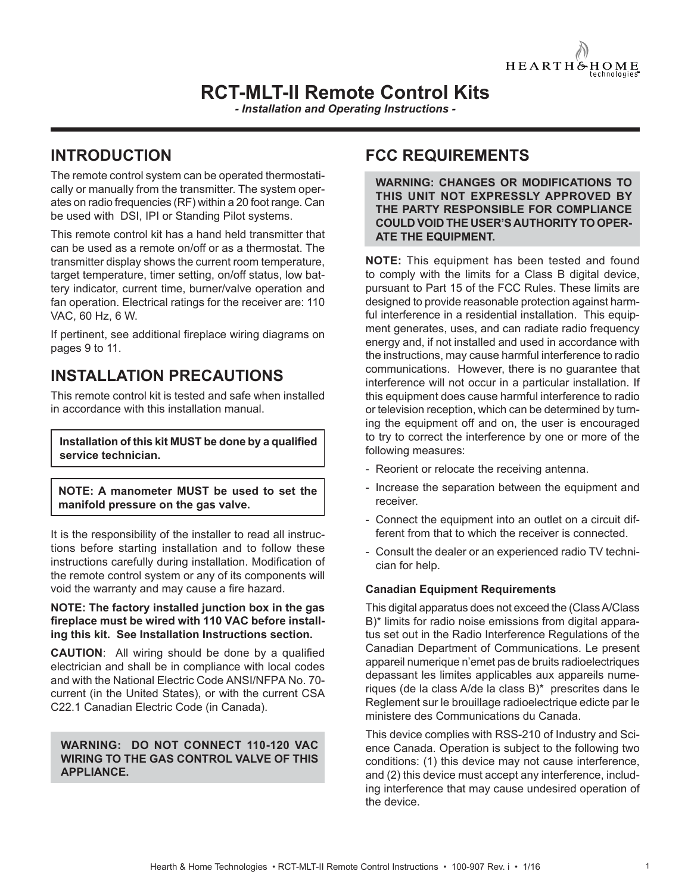

# **RCT-MLT-II Remote Control Kits**

*- Installation and Operating Instructions -*

# **INTRODUCTION**

The remote control system can be operated thermostatically or manually from the transmitter. The system operates on radio frequencies (RF) within a 20 foot range. Can be used with DSI, IPI or Standing Pilot systems.

This remote control kit has a hand held transmitter that can be used as a remote on/off or as a thermostat. The transmitter display shows the current room temperature, target temperature, timer setting, on/off status, low battery indicator, current time, burner/valve operation and fan operation. Electrical ratings for the receiver are: 110 VAC, 60 Hz, 6 W.

If pertinent, see additional fireplace wiring diagrams on pages 9 to 11.

# **INSTALLATION PRECAUTIONS**

This remote control kit is tested and safe when installed in accordance with this installation manual.

**Installation of this kit MUST be done by a qualified service technician.**

**NOTE: A manometer MUST be used to set the manifold pressure on the gas valve.**

It is the responsibility of the installer to read all instructions before starting installation and to follow these instructions carefully during installation. Modification of the remote control system or any of its components will void the warranty and may cause a fire hazard.

#### **NOTE: The factory installed junction box in the gas**  fireplace must be wired with 110 VAC before install**ing this kit. See Installation Instructions section.**

**CAUTION:** All wiring should be done by a qualified electrician and shall be in compliance with local codes and with the National Electric Code ANSI/NFPA No. 70 current (in the United States), or with the current CSA C22.1 Canadian Electric Code (in Canada).

#### **WARNING: DO NOT CONNECT 110-120 VAC WIRING TO THE GAS CONTROL VALVE OF THIS APPLIANCE.**

# **FCC REQUIREMENTS**

**WARNING: CHANGES OR MODIFICATIONS TO THIS UNIT NOT EXPRESSLY APPROVED BY THE PARTY RESPONSIBLE FOR COMPLIANCE COULD VOID THE USER'S AUTHORITY TO OPER-ATE THE EQUIPMENT.**

**NOTE:** This equipment has been tested and found to comply with the limits for a Class B digital device, pursuant to Part 15 of the FCC Rules. These limits are designed to provide reasonable protection against harmful interference in a residential installation. This equipment generates, uses, and can radiate radio frequency energy and, if not installed and used in accordance with the instructions, may cause harmful interference to radio communications. However, there is no guarantee that interference will not occur in a particular installation. If this equipment does cause harmful interference to radio or television reception, which can be determined by turning the equipment off and on, the user is encouraged to try to correct the interference by one or more of the following measures:

- Reorient or relocate the receiving antenna.
- Increase the separation between the equipment and receiver.
- Connect the equipment into an outlet on a circuit different from that to which the receiver is connected.
- Consult the dealer or an experienced radio TV technician for help.

## **Canadian Equipment Requirements**

This digital apparatus does not exceed the (Class A/Class B)\* limits for radio noise emissions from digital apparatus set out in the Radio Interference Regulations of the Canadian Department of Communications. Le present appareil numerique n'emet pas de bruits radioelectriques depassant les limites applicables aux appareils numeriques (de la class A/de la class B)\* prescrites dans le Reglement sur le brouillage radioelectrique edicte par le ministere des Communications du Canada.

This device complies with RSS-210 of Industry and Science Canada. Operation is subject to the following two conditions: (1) this device may not cause interference, and (2) this device must accept any interference, including interference that may cause undesired operation of the device.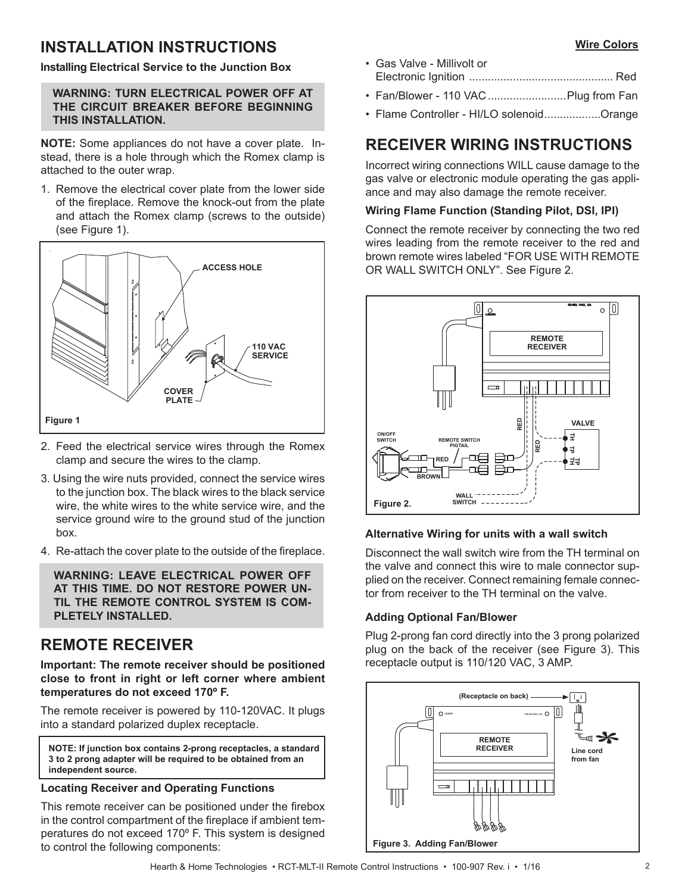# **INSTALLATION INSTRUCTIONS**

#### **Installing Electrical Service to the Junction Box**

### **WARNING: TURN ELECTRICAL POWER OFF AT THE CIRCUIT BREAKER BEFORE BEGINNING THIS INSTALLATION.**

**NOTE:** Some appliances do not have a cover plate. Instead, there is a hole through which the Romex clamp is attached to the outer wrap.

1. Remove the electrical cover plate from the lower side of the fireplace. Remove the knock-out from the plate and attach the Romex clamp (screws to the outside) (see Figure 1).



- 2. Feed the electrical service wires through the Romex clamp and secure the wires to the clamp.
- 3. Using the wire nuts provided, connect the service wires to the junction box. The black wires to the black service wire, the white wires to the white service wire, and the service ground wire to the ground stud of the junction box.
- 4. Re-attach the cover plate to the outside of the fireplace.

**WARNING: LEAVE ELECTRICAL POWER OFF AT THIS TIME. DO NOT RESTORE POWER UN-TIL THE REMOTE CONTROL SYSTEM IS COM-PLETELY INSTALLED.** 

# **REMOTE RECEIVER**

**Important: The remote receiver should be positioned close to front in right or left corner where ambient temperatures do not exceed 170º F.**

The remote receiver is powered by 110-120VAC. It plugs into a standard polarized duplex receptacle.

**NOTE: If junction box contains 2-prong receptacles, a standard 3 to 2 prong adapter will be required to be obtained from an independent source.**

### **Locating Receiver and Operating Functions**

This remote receiver can be positioned under the firebox in the control compartment of the fireplace if ambient temperatures do not exceed 170º F. This system is designed to control the following components:

- Gas Valve Millivolt or Electronic Ignition .............................................. Red
- Fan/Blower 110 VAC .........................Plug from Fan
- Flame Controller HI/LO solenoid ..................Orange

# **RECEIVER WIRING INSTRUCTIONS**

Incorrect wiring connections WILL cause damage to the gas valve or electronic module operating the gas appliance and may also damage the remote receiver.

### **Wiring Flame Function (Standing Pilot, DSI, IPI)**

Connect the remote receiver by connecting the two red wires leading from the remote receiver to the red and brown remote wires labeled "FOR USE WITH REMOTE OR WALL SWITCH ONLY". See Figure 2.



# **Alternative Wiring for units with a wall switch**

Disconnect the wall switch wire from the TH terminal on the valve and connect this wire to male connector supplied on the receiver. Connect remaining female connector from receiver to the TH terminal on the valve.

## **Adding Optional Fan/Blower**

Plug 2-prong fan cord directly into the 3 prong polarized plug on the back of the receiver (see Figure 3). This receptacle output is 110/120 VAC, 3 AMP.

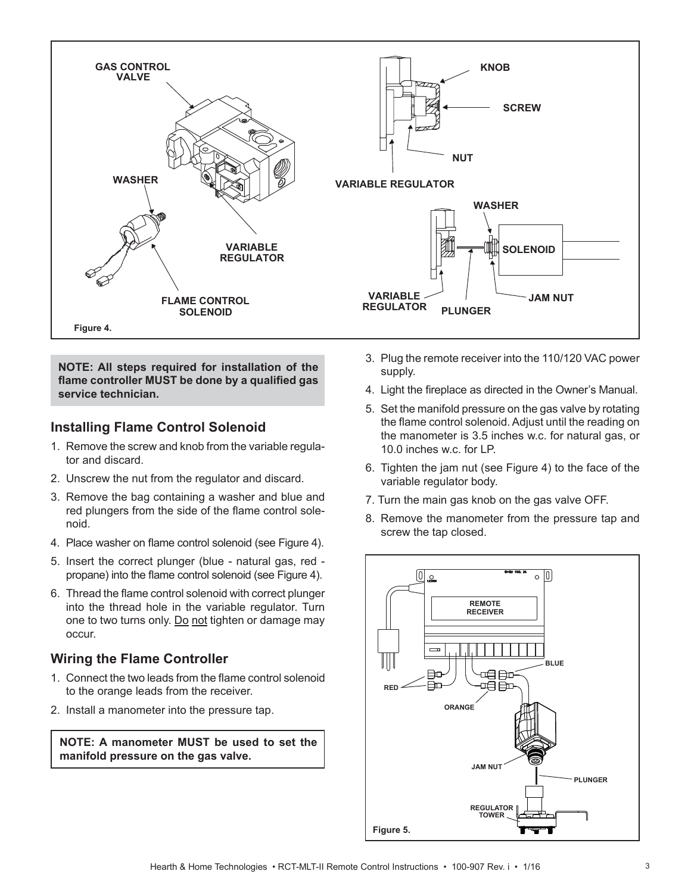

**NOTE: All steps required for installation of the**  flame controller MUST be done by a qualified gas **service technician.**

## **Installing Flame Control Solenoid**

- 1. Remove the screw and knob from the variable regulator and discard.
- 2. Unscrew the nut from the regulator and discard.
- 3. Remove the bag containing a washer and blue and red plungers from the side of the flame control solenoid.
- 4. Place washer on flame control solenoid (see Figure 4).
- 5. Insert the correct plunger (blue natural gas, red propane) into the flame control solenoid (see Figure 4).
- 6. Thread the flame control solenoid with correct plunger into the thread hole in the variable regulator. Turn one to two turns only. Do not tighten or damage may occur.

# **Wiring the Flame Controller**

- 1. Connect the two leads from the flame control solenoid to the orange leads from the receiver.
- 2. Install a manometer into the pressure tap.

**NOTE: A manometer MUST be used to set the manifold pressure on the gas valve.**

- 3. Plug the remote receiver into the 110/120 VAC power supply.
- 4. Light the fireplace as directed in the Owner's Manual.
- 5. Set the manifold pressure on the gas valve by rotating the flame control solenoid. Adjust until the reading on the manometer is 3.5 inches w.c. for natural gas, or 10.0 inches w.c. for LP.
- 6. Tighten the jam nut (see Figure 4) to the face of the variable regulator body.
- 7. Turn the main gas knob on the gas valve OFF.
- 8. Remove the manometer from the pressure tap and screw the tap closed.

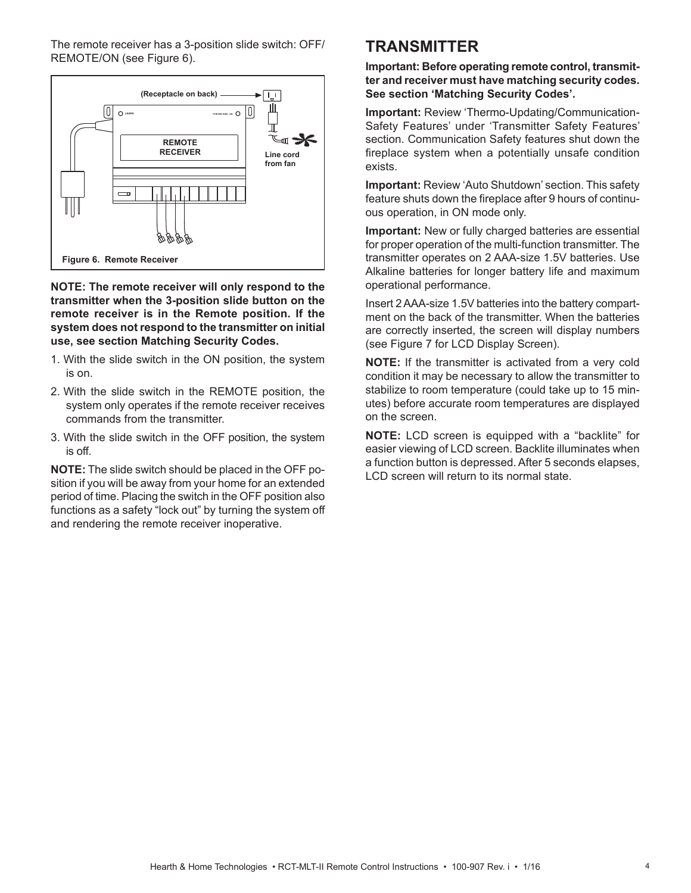The remote receiver has a 3-position slide switch: OFF/ REMOTE/ON (see Figure 6).



**NOTE: The remote receiver will only respond to the transmitter when the 3-position slide button on the remote receiver is in the Remote position. If the system does not respond to the transmitter on initial use, see section Matching Security Codes.**

- 1. With the slide switch in the ON position, the system is on.
- 2. With the slide switch in the REMOTE position, the system only operates if the remote receiver receives commands from the transmitter.
- 3. With the slide switch in the OFF position, the system is off.

**NOTE:** The slide switch should be placed in the OFF position if you will be away from your home for an extended period of time. Placing the switch in the OFF position also functions as a safety "lock out" by turning the system off and rendering the remote receiver inoperative.

# **TRANSMITTER**

**Important: Before operating remote control, transmitter and receiver must have matching security codes. See section 'Matching Security Codes'.**

**Important:** Review 'Thermo-Updating/Communication-Safety Features' under 'Transmitter Safety Features' section. Communication Safety features shut down the fireplace system when a potentially unsafe condition exists.

**Important:** Review 'Auto Shutdown' section. This safety feature shuts down the fireplace after 9 hours of continuous operation, in ON mode only.

**Important:** New or fully charged batteries are essential for proper operation of the multi-function transmitter. The transmitter operates on 2 AAA-size 1.5V batteries. Use Alkaline batteries for longer battery life and maximum operational performance.

Insert 2 AAA-size 1.5V batteries into the battery compartment on the back of the transmitter. When the batteries are correctly inserted, the screen will display numbers (see Figure 7 for LCD Display Screen).

**NOTE:** If the transmitter is activated from a very cold condition it may be necessary to allow the transmitter to stabilize to room temperature (could take up to 15 minutes) before accurate room temperatures are displayed on the screen.

**NOTE:** LCD screen is equipped with a "backlite" for easier viewing of LCD screen. Backlite illuminates when a function button is depressed. After 5 seconds elapses, LCD screen will return to its normal state.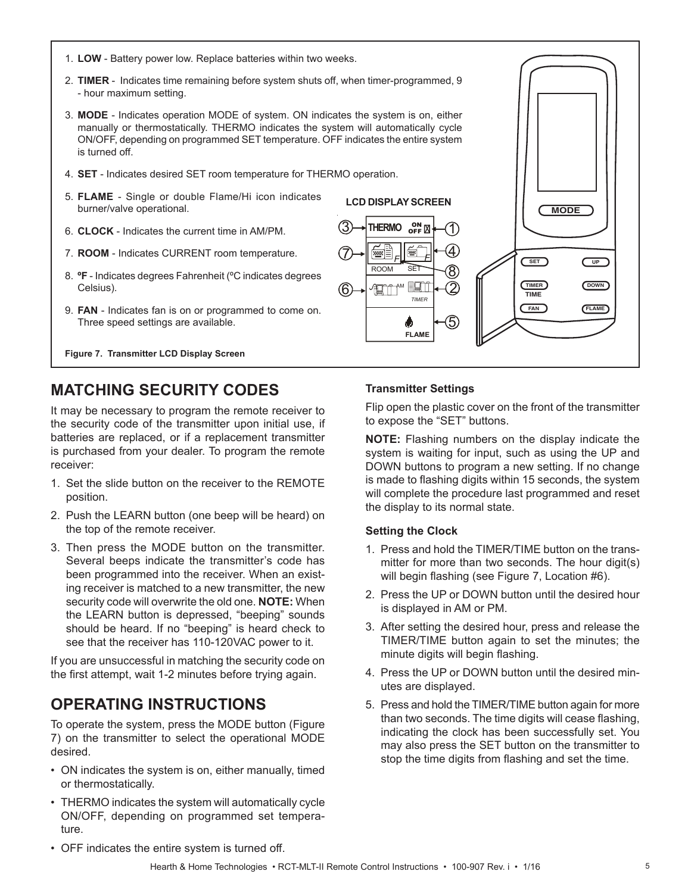- 1. **LOW** Battery power low. Replace batteries within two weeks.
- 2. **TIMER** Indicates time remaining before system shuts off, when timer-programmed, 9 - hour maximum setting.
- 3. **MODE** Indicates operation MODE of system. ON indicates the system is on, either manually or thermostatically. THERMO indicates the system will automatically cycle ON/OFF, depending on programmed SET temperature. OFF indicates the entire system is turned off.
- 4. **SET** Indicates desired SET room temperature for THERMO operation.
- 5. **FLAME** Single or double Flame/Hi icon indicates burner/valve operational.
- 6. **CLOCK** Indicates the current time in AM/PM.
- 7. **ROOM**  Indicates CURRENT room temperature.
- 8. **ºF** Indicates degrees Fahrenheit (ºC indicates degrees Celsius).
- 9. **FAN**  Indicates fan is on or programmed to come on. Three speed settings are available.

**Figure 7. Transmitter LCD Display Screen** 

# **MATCHING SECURITY CODES**

It may be necessary to program the remote receiver to the security code of the transmitter upon initial use, if batteries are replaced, or if a replacement transmitter is purchased from your dealer. To program the remote receiver:

- 1. Set the slide button on the receiver to the REMOTE position.
- 2. Push the LEARN button (one beep will be heard) on the top of the remote receiver.
- 3. Then press the MODE button on the transmitter. Several beeps indicate the transmitter's code has been programmed into the receiver. When an existing receiver is matched to a new transmitter, the new security code will overwrite the old one. **NOTE:** When the LEARN button is depressed, "beeping" sounds should be heard. If no "beeping" is heard check to see that the receiver has 110-120VAC power to it.

If you are unsuccessful in matching the security code on the first attempt, wait 1-2 minutes before trying again.

# **OPERATING INSTRUCTIONS**

To operate the system, press the MODE button (Figure 7) on the transmitter to select the operational MODE desired.

- ON indicates the system is on, either manually, timed or thermostatically.
- THERMO indicates the system will automatically cycle ON/OFF, depending on programmed set temperature.



**FLAME**

φ

*TIMER* AM ROOM SET *F F*

厚

6

7

3<sup>O</sup>THERMO<sub>OFF</sub>

**LCD DISPLAY SCREEN**

5

Flip open the plastic cover on the front of the transmitter to expose the "SET" buttons.

**MODE**

**FAN FLAME**

**DOWN**

**UP**

**SET**

**TIMER TIME**

**NOTE:** Flashing numbers on the display indicate the system is waiting for input, such as using the UP and DOWN buttons to program a new setting. If no change is made to flashing digits within 15 seconds, the system will complete the procedure last programmed and reset the display to its normal state.

#### **Setting the Clock**

- 1. Press and hold the TIMER/TIME button on the transmitter for more than two seconds. The hour digit(s) will begin flashing (see Figure 7, Location #6).
- 2. Press the UP or DOWN button until the desired hour is displayed in AM or PM.
- 3. After setting the desired hour, press and release the TIMER/TIME button again to set the minutes; the minute digits will begin flashing.
- 4. Press the UP or DOWN button until the desired minutes are displayed.
- 5. Press and hold the TIMER/TIME button again for more than two seconds. The time digits will cease flashing, indicating the clock has been successfully set. You may also press the SET button on the transmitter to stop the time digits from flashing and set the time.

• OFF indicates the entire system is turned off.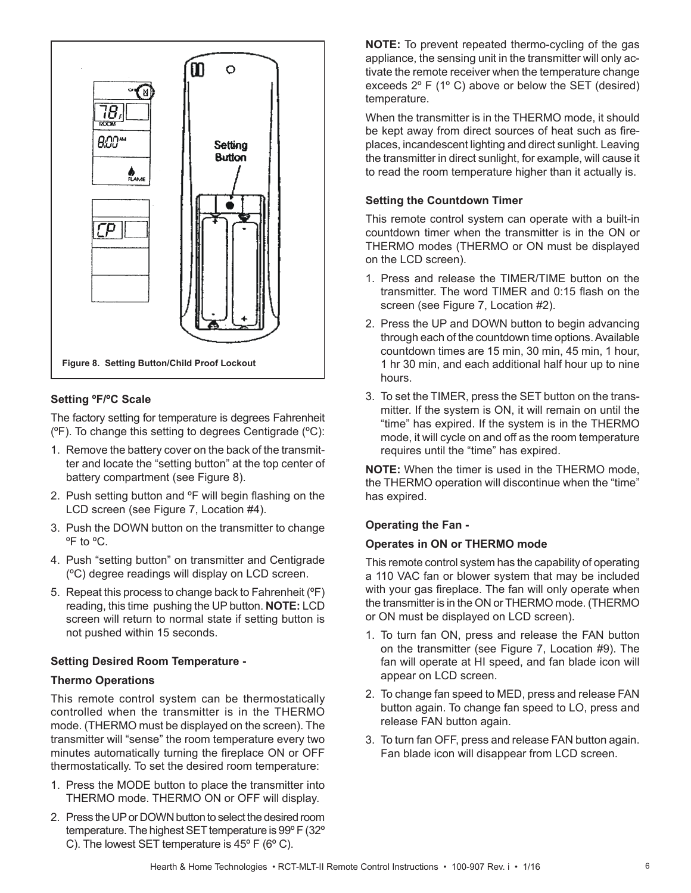

### **Setting ºF/ºC Scale**

The factory setting for temperature is degrees Fahrenheit (ºF). To change this setting to degrees Centigrade (ºC):

- 1. Remove the battery cover on the back of the transmitter and locate the "setting button" at the top center of battery compartment (see Figure 8).
- 2. Push setting button and °F will begin flashing on the LCD screen (see Figure 7, Location #4).
- 3. Push the DOWN button on the transmitter to change ºF to ºC.
- 4. Push "setting button" on transmitter and Centigrade (ºC) degree readings will display on LCD screen.
- 5. Repeat this process to change back to Fahrenheit (ºF) reading, this time pushing the UP button. **NOTE:** LCD screen will return to normal state if setting button is not pushed within 15 seconds.

### **Setting Desired Room Temperature -**

#### **Thermo Operations**

This remote control system can be thermostatically controlled when the transmitter is in the THERMO mode. (THERMO must be displayed on the screen). The transmitter will "sense" the room temperature every two minutes automatically turning the fireplace ON or OFF thermostatically. To set the desired room temperature:

- 1. Press the MODE button to place the transmitter into THERMO mode. THERMO ON or OFF will display.
- 2. Press the UP or DOWN button to select the desired room temperature. The highest SET temperature is 99º F (32º C). The lowest SET temperature is 45º F (6º C).

**NOTE:** To prevent repeated thermo-cycling of the gas appliance, the sensing unit in the transmitter will only activate the remote receiver when the temperature change exceeds 2º F (1º C) above or below the SET (desired) temperature.

When the transmitter is in the THERMO mode, it should be kept away from direct sources of heat such as fireplaces, incandescent lighting and direct sunlight. Leaving the transmitter in direct sunlight, for example, will cause it to read the room temperature higher than it actually is.

#### **Setting the Countdown Timer**

This remote control system can operate with a built-in countdown timer when the transmitter is in the ON or THERMO modes (THERMO or ON must be displayed on the LCD screen).

- 1. Press and release the TIMER/TIME button on the transmitter. The word TIMER and 0:15 flash on the screen (see Figure 7, Location #2).
- 2. Press the UP and DOWN button to begin advancing through each of the countdown time options. Available countdown times are 15 min, 30 min, 45 min, 1 hour, 1 hr 30 min, and each additional half hour up to nine hours.
- 3. To set the TIMER, press the SET button on the transmitter. If the system is ON, it will remain on until the "time" has expired. If the system is in the THERMO mode, it will cycle on and off as the room temperature requires until the "time" has expired.

**NOTE:** When the timer is used in the THERMO mode, the THERMO operation will discontinue when the "time" has expired.

#### **Operating the Fan -**

#### **Operates in ON or THERMO mode**

This remote control system has the capability of operating a 110 VAC fan or blower system that may be included with your gas fireplace. The fan will only operate when the transmitter is in the ON or THERMO mode. (THERMO or ON must be displayed on LCD screen).

- 1. To turn fan ON, press and release the FAN button on the transmitter (see Figure 7, Location #9). The fan will operate at HI speed, and fan blade icon will appear on LCD screen.
- 2. To change fan speed to MED, press and release FAN button again. To change fan speed to LO, press and release FAN button again.
- 3. To turn fan OFF, press and release FAN button again. Fan blade icon will disappear from LCD screen.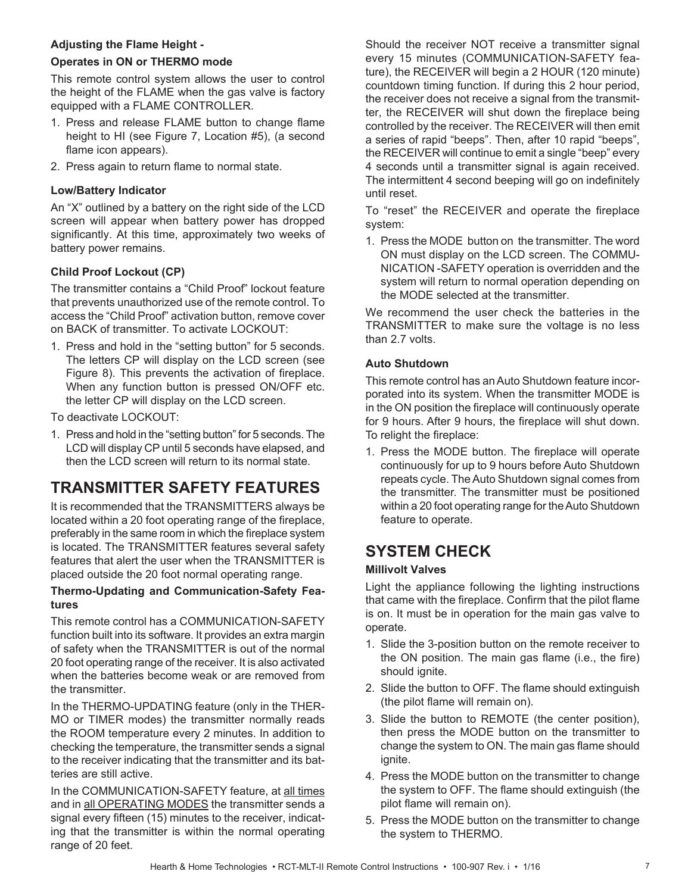## **Adjusting the Flame Height -**

### **Operates in ON or THERMO mode**

This remote control system allows the user to control the height of the FLAME when the gas valve is factory equipped with a FLAME CONTROLLER.

- 1. Press and release FLAME button to change flame height to HI (see Figure 7, Location #5), (a second flame icon appears).
- 2. Press again to return flame to normal state.

### **Low/Battery Indicator**

An "X" outlined by a battery on the right side of the LCD screen will appear when battery power has dropped significantly. At this time, approximately two weeks of battery power remains.

### **Child Proof Lockout (CP)**

The transmitter contains a "Child Proof" lockout feature that prevents unauthorized use of the remote control. To access the "Child Proof" activation button, remove cover on BACK of transmitter. To activate LOCKOUT:

1. Press and hold in the "setting button" for 5 seconds. The letters CP will display on the LCD screen (see Figure 8). This prevents the activation of fireplace. When any function button is pressed ON/OFF etc. the letter CP will display on the LCD screen.

To deactivate LOCKOUT:

1. Press and hold in the "setting button" for 5 seconds. The LCD will display CP until 5 seconds have elapsed, and then the LCD screen will return to its normal state.

# **TRANSMITTER SAFETY FEATURES**

It is recommended that the TRANSMITTERS always be located within a 20 foot operating range of the fireplace, preferably in the same room in which the fireplace system is located. The TRANSMITTER features several safety features that alert the user when the TRANSMITTER is placed outside the 20 foot normal operating range.

### **Thermo-Updating and Communication-Safety Features**

This remote control has a COMMUNICATION-SAFETY function built into its software. It provides an extra margin of safety when the TRANSMITTER is out of the normal 20 foot operating range of the receiver. It is also activated when the batteries become weak or are removed from the transmitter.

In the THERMO-UPDATING feature (only in the THER-MO or TIMER modes) the transmitter normally reads the ROOM temperature every 2 minutes. In addition to checking the temperature, the transmitter sends a signal to the receiver indicating that the transmitter and its batteries are still active.

In the COMMUNICATION-SAFETY feature, at all times and in all OPERATING MODES the transmitter sends a signal every fifteen (15) minutes to the receiver, indicating that the transmitter is within the normal operating range of 20 feet.

Should the receiver NOT receive a transmitter signal every 15 minutes (COMMUNICATION-SAFETY feature), the RECEIVER will begin a 2 HOUR (120 minute) countdown timing function. If during this 2 hour period, the receiver does not receive a signal from the transmitter, the RECEIVER will shut down the fireplace being controlled by the receiver. The RECEIVER will then emit a series of rapid "beeps". Then, after 10 rapid "beeps", the RECEIVER will continue to emit a single "beep" every 4 seconds until a transmitter signal is again received. The intermittent 4 second beeping will go on indefinitely until reset.

To "reset" the RECEIVER and operate the fireplace system:

1. Press the MODE button on the transmitter. The word ON must display on the LCD screen. The COMMU-NICATION -SAFETY operation is overridden and the system will return to normal operation depending on the MODE selected at the transmitter.

We recommend the user check the batteries in the TRANSMITTER to make sure the voltage is no less than 2.7 volts.

### **Auto Shutdown**

This remote control has an Auto Shutdown feature incorporated into its system. When the transmitter MODE is in the ON position the fireplace will continuously operate for 9 hours. After 9 hours, the fireplace will shut down. To relight the fireplace:

1. Press the MODE button. The fireplace will operate continuously for up to 9 hours before Auto Shutdown repeats cycle. The Auto Shutdown signal comes from the transmitter. The transmitter must be positioned within a 20 foot operating range for the Auto Shutdown feature to operate.

# **SYSTEM CHECK**

### **Millivolt Valves**

Light the appliance following the lighting instructions that came with the fireplace. Confirm that the pilot flame is on. It must be in operation for the main gas valve to operate.

- 1. Slide the 3-position button on the remote receiver to the ON position. The main gas flame (i.e., the fire) should ignite.
- 2. Slide the button to OFF. The flame should extinguish (the pilot flame will remain on).
- 3. Slide the button to REMOTE (the center position), then press the MODE button on the transmitter to change the system to ON. The main gas flame should ignite.
- 4. Press the MODE button on the transmitter to change the system to OFF. The flame should extinguish (the pilot flame will remain on).
- 5. Press the MODE button on the transmitter to change the system to THERMO.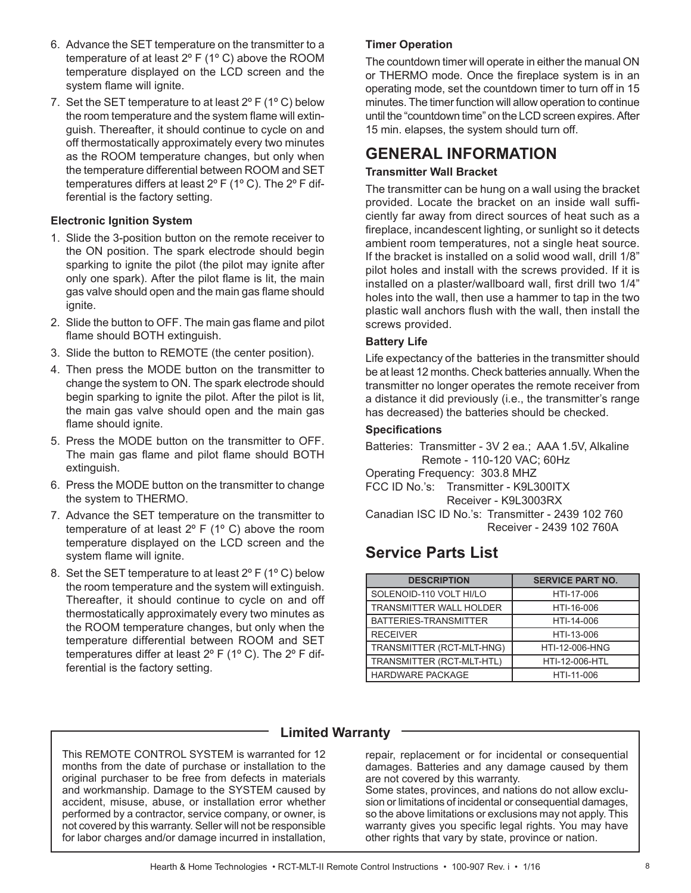- 6. Advance the SET temperature on the transmitter to a temperature of at least 2º F (1º C) above the ROOM temperature displayed on the LCD screen and the system flame will ignite.
- 7. Set the SET temperature to at least  $2^{\circ}$  F (1 $^{\circ}$  C) below the room temperature and the system flame will extinguish. Thereafter, it should continue to cycle on and off thermostatically approximately every two minutes as the ROOM temperature changes, but only when the temperature differential between ROOM and SET temperatures differs at least 2º F (1º C). The 2º F differential is the factory setting.

### **Electronic Ignition System**

- 1. Slide the 3-position button on the remote receiver to the ON position. The spark electrode should begin sparking to ignite the pilot (the pilot may ignite after only one spark). After the pilot flame is lit, the main gas valve should open and the main gas flame should ianite.
- 2. Slide the button to OFF. The main gas flame and pilot flame should BOTH extinguish.
- 3. Slide the button to REMOTE (the center position).
- 4. Then press the MODE button on the transmitter to change the system to ON. The spark electrode should begin sparking to ignite the pilot. After the pilot is lit, the main gas valve should open and the main gas flame should ignite.
- 5. Press the MODE button on the transmitter to OFF. The main gas flame and pilot flame should BOTH extinguish.
- 6. Press the MODE button on the transmitter to change the system to THERMO.
- 7. Advance the SET temperature on the transmitter to temperature of at least 2º F (1º C) above the room temperature displayed on the LCD screen and the system flame will ignite.
- 8. Set the SET temperature to at least 2º F (1º C) below the room temperature and the system will extinguish. Thereafter, it should continue to cycle on and off thermostatically approximately every two minutes as the ROOM temperature changes, but only when the temperature differential between ROOM and SET temperatures differ at least 2º F (1º C). The 2º F differential is the factory setting.

## **Timer Operation**

The countdown timer will operate in either the manual ON or THERMO mode. Once the fireplace system is in an operating mode, set the countdown timer to turn off in 15 minutes. The timer function will allow operation to continue until the "countdown time" on the LCD screen expires. After 15 min. elapses, the system should turn off.

# **GENERAL INFORMATION**

## **Transmitter Wall Bracket**

The transmitter can be hung on a wall using the bracket provided. Locate the bracket on an inside wall sufficiently far away from direct sources of heat such as a fireplace, incandescent lighting, or sunlight so it detects ambient room temperatures, not a single heat source. If the bracket is installed on a solid wood wall, drill 1/8" pilot holes and install with the screws provided. If it is installed on a plaster/wallboard wall, first drill two 1/4" holes into the wall, then use a hammer to tap in the two plastic wall anchors flush with the wall, then install the screws provided.

### **Battery Life**

Life expectancy of the batteries in the transmitter should be at least 12 months. Check batteries annually. When the transmitter no longer operates the remote receiver from a distance it did previously (i.e., the transmitter's range has decreased) the batteries should be checked.

## **Specifi cations**

Batteries: Transmitter - 3V 2 ea.; AAA 1.5V, Alkaline Remote - 110-120 VAC; 60Hz Operating Frequency: 303.8 MHZ FCC ID No.'s: Transmitter - K9L300ITX Receiver - K9L3003RX Canadian ISC ID No.'s: Transmitter - 2439 102 760 Receiver - 2439 102 760A

# **Service Parts List**

| <b>DESCRIPTION</b>             | <b>SERVICE PART NO.</b> |
|--------------------------------|-------------------------|
| SOLENOID-110 VOLT HI/LO        | HTI-17-006              |
| <b>TRANSMITTER WALL HOLDER</b> | HTI-16-006              |
| BATTERIES-TRANSMITTER          | HTI-14-006              |
| <b>RECEIVER</b>                | HTI-13-006              |
| TRANSMITTER (RCT-MLT-HNG)      | HTI-12-006-HNG          |
| TRANSMITTER (RCT-MLT-HTL)      | HTI-12-006-HTL          |
| <b>HARDWARE PACKAGE</b>        | HTI-11-006              |

# **Limited Warranty**

This REMOTE CONTROL SYSTEM is warranted for 12 months from the date of purchase or installation to the original purchaser to be free from defects in materials and workmanship. Damage to the SYSTEM caused by accident, misuse, abuse, or installation error whether performed by a contractor, service company, or owner, is not covered by this warranty. Seller will not be responsible for labor charges and/or damage incurred in installation,

repair, replacement or for incidental or consequential damages. Batteries and any damage caused by them are not covered by this warranty. Some states, provinces, and nations do not allow exclusion or limitations of incidental or consequential damages, so the above limitations or exclusions may not apply. This warranty gives you specific legal rights. You may have

other rights that vary by state, province or nation.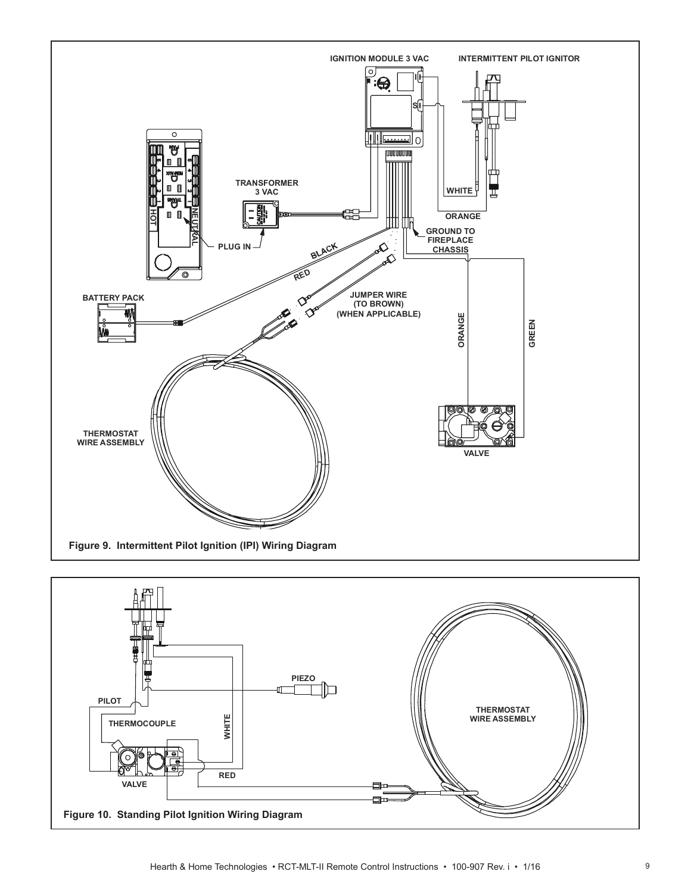

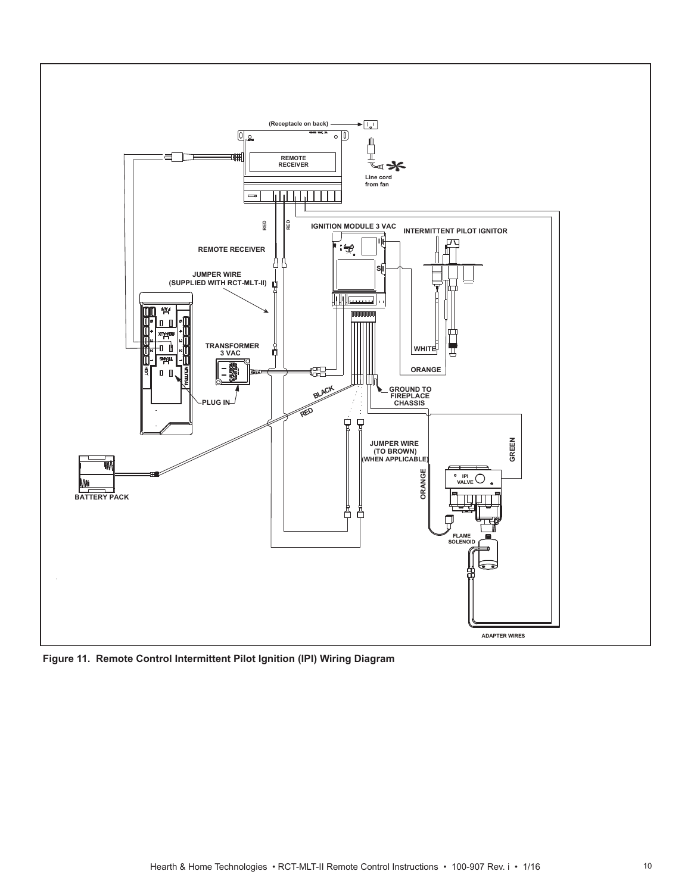

**Figure 11. Remote Control Intermittent Pilot Ignition (IPI) Wiring Diagram**